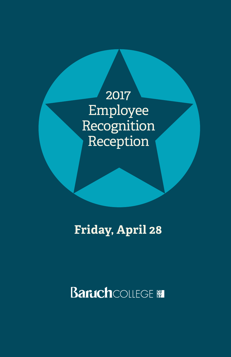2017 Employee Recognition Reception

**Friday, April 28**

**Baruch** COLLEGE **IN**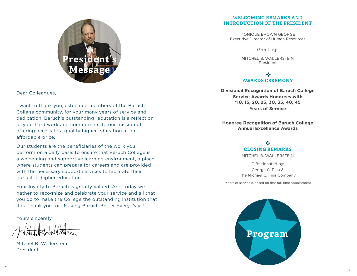

Dear Colleagues,

I want to thank you, esteemed members of the Baruch College community, for your many years of service and dedication. Baruch's outstanding reputation is a reflection of your hard work and commitment to our mission of offering access to a quality higher education at an affordable price.

Our students are the beneficiaries of the work you perform on a daily basis to ensure that Baruch College is a welcoming and supportive learning environment, a place where students can prepare for careers and are provided with the necessary support services to facilitate their pursuit of higher education.

Your loyalty to Baruch is greatly valued. And today we gather to recognize and celebrate your service and all that you do to make the College the outstanding institution that it is. Thank you for "Making Baruch Better Every Day"!

Yours sincerely,

Mitchel B. Wallerstein President

#### **WELCOMING REMARKS AND INTRODUCTION OF THE PRESIDENT**

MONIQUE BROWN GEORGE Executive Director of Human Resources

**Greetings** 

MITCHEL B. WALLERSTEIN President

 $\frac{1}{2}$ **AWARDS CEREMONY**

**Divisional Recognition of Baruch College Service Awards Honorees with \*10, 15, 20, 25, 30, 35, 40, 45 Years of Service**

**Honoree Recognition of Baruch College Annual Excellence Awards**

## $\frac{1}{2}$ **CLOSING REMARKS**

MITCHEL B. WALLERSTEIN

Gifts donated by: George C. Fina & The Michael C. Fina Company

\*Years of service is based on first full-time appointment

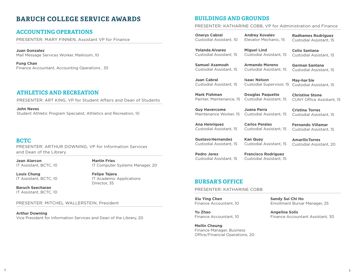## **BARUCH COLLEGE SERVICE AWARDS**

## **ACCOUNTING OPERATIONS**

PRESENTER: MARY FINNEN, Assistant VP for Finance

**Juan Gonzalez** Mail Message Services Worker, Mailroom, 10

**Fung Chan** Finance Accountant, Accounting Operations , 35

## **ATHLETICS AND RECREATION**

PRESENTER: ART KING, VP for Student Affairs and Dean of Students

**John Neves** Student Athletic Program Specialist, Athletics and Recreation, 10

## **BCTC**

PRESENTER: ARTHUR DOWNING, VP for Information Services and Dean of the Library

**Jean Alarcon**  IT Assistant, BCTC, 10 **Martin Fries**  IT Computer Systems Manager, 20

**Louis Chung**  IT Assistant, BCTC, 10 **Felipe Tejera** IT Academic Applications Director, 35 **BURSAR'S OFFICE**

**Baruch Seecharan**  IT Assistant, BCTC, 10

PRESENTER: MITCHEL WALLERSTEIN, President

**Arthur Downing** Vice President for Information Services and Dean of the Library, 20

## **BUILDINGS AND GROUNDS**

#### PRESENTER: KATHARINE COBB, VP for Administration and Finance

**Onerys Cabral** Custodial Assistant, 10 **Andrey Kovalev** Elevator Mechanic, 15

**Yolanda Alvarez** Custodial Assistant, 15 **Miguel Lind** Custodial Assistant, 15

**Samuel Asamoah** Custodial Assistant, 15

**Armando Moreno** Custodial Assistant, 15

Custodial Assistant, 15

**German Santana**

**May-har Sie**

**Christine Stone**

**Cristina Torres** Custodial Assistant, 15

**AmarilisTorres** Custodial Assistant, 20

**Radhames Rodriguez** Custodial Assistant, 15

**Celio Santana** Custodial Assistant, 15

**Juan Cabral** Custodial Assistant, 15 **Isaac Nelson** Custodial Supervisor, 15 Custodial Assistant, 15

**Mark Fishman** Painter, Maintenance, 15 Custodial Assistant, 15 **Douglas Paquette**

**Guy Havercome** Maintenance Worker, 15

**Juana Parra**

Custodial Assistant, 15

**Ana Henriquez** Custodial Assistant, 15 **Carlos Perales** Custodial Assistant, 15

**Fernando Villamar** Custodial Assistant, 15

CUNY Office Assistant, 15

**GustavoHernandez** Custodial Assistant, 15

Custodial Assistant, 15

**Pedro Jerez**

**Kan Quey** Custodial Assistant, 15

**Francisco Rodriguez** Custodial Assistant, 15

PRESENTER: KATHARINE COBB

**Xiu Ying Chen** Finance Accountant, 10

**Yu Zhao** Finance Accountant, 10

**Meilin Cheung** Finance Manager, Business Office/Financial Operations, 20 **Sandy Sui Chi Ho** Enrollment Bursar Manager, 25

**Angelina Solis** Finance Accountant Assistant, 30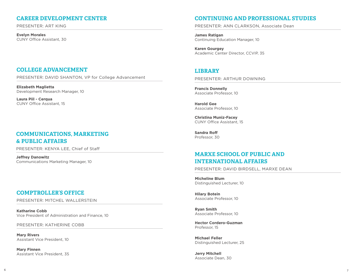## **CAREER DEVELOPMENT CENTER**

PRESENTER: ART KING

**Evelyn Morales** CUNY Office Assistant, 30

## **COLLEGE ADVANCEMENT**

PRESENTER: DAVID SHANTON, VP for College Advancement

**Elizabeth Maglietta** Development Research Manager, 10

**Laura Piil - Cerqua** CUNY Office Assistant, 15

## **COMMUNICATIONS, MARKETING & PUBLIC AFFAIRS**

PRESENTER: KENYA LEE, Chief of Staff

**Jeffrey Danowitz** Communications Marketing Manager, 10

## **COMPTROLLER'S OFFICE**

PRESENTER: MITCHEL WALLERSTEIN

**Katharine Cobb** Vice President of Administration and Finance, 10

PRESENTER: KATHERINE COBB

**Mary Rivers** Assistant Vice President, 10

**Mary Finnen** Assistant Vice President, 35

## **CONTINUING AND PROFESSIONAL STUDIES**

PRESENTER: ANN CLARKSON, Associate Dean

**James Ratigan** Continuing Education Manager, 10

**Karen Gourgey** Academic Center Director, CCVIP, 35

## **LIBRARY**

PRESENTER: ARTHUR DOWNING

**Francis Donnelly** Associate Professor, 10

**Harold Gee** Associate Professor, 10

**Christina Muniz-Facey** CUNY Office Assistant, 15

**Sandra Roff** Professor, 30

## **MARXE SCHOOL OF PUBLIC AND INTERNATIONAL AFFAIRS**

PRESENTER: DAVID BIRDSELL, MARXE DEAN

**Micheline Blum** Distinguished Lecturer, 10

**Hilary Botein** Associate Professor, 10

**Ryan Smith** Associate Professor, 10

**Hector Cordero-Guzman** Professor, 15

**Michael Feller** Distinguished Lecturer, 25

**Jerry Mitchell** Associate Dean, 30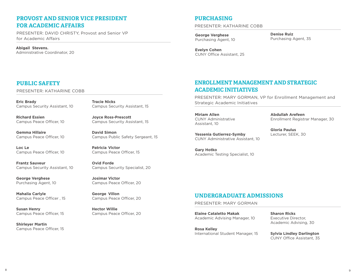## **PROVOST AND SENIOR VICE PRESIDENT FOR ACADEMIC AFFAIRS**

PRESENTER: DAVID CHRISTY, Provost and Senior VP for Academic Affairs

**Abigail Stevens.** Administrative Coordinator, 20

## **PUBLIC SAFETY**

PRESENTER: KATHARINE COBB

**Eric Brady** Campus Security Assistant, 10 **Tracie Nicks** Campus Security Assistant, 15

Campus Security Assistant, 15

Campus Peace Officer, 15

Campus Peace Officer, 20

Campus Peace Officer, 20

Campus Peace Officer, 20

Campus Security Specialist, 20

Campus Public Safety Sergeant, 15

**Joyce Ross-Prescott**

**David Simon**

**Patricia Victor**

**Ovid Forde**

**Josimar Victor**

**George Villon**

**Hector Willie**

**Richard Essien** Campus Peace Officer, 10

**Gemma Hillaire** Campus Peace Officer, 10

**Loc Le**  Campus Peace Officer, 10

**Frantz Sauveur** Campus Security Assistant, 10

**George Verghese**  Purchasing Agent, 10

**Mahalia Carlyle** Campus Peace Officer , 15

**Susan Henry** Campus Peace Officer, 15

**Shirleyer Martin** Campus Peace Officer, 15

## **PURCHASING**

PRESENTER: KATHARINE COBB

**George Verghese** Purchasing Agent, 10 **Denise Ruiz** Purchasing Agent, 35

**Evelyn Cohen** CUNY Office Assistant, 25

## **ENROLLMENT MANAGEMENT AND STRATEGIC ACADEMIC INITIATIVES**

PRESENTER: MARY GORMAN, VP for Enrollment Management and Strategic Academic Initiatives

**Miriam Allen** CUNY Administrative Assistant, 10

**Yessenia Gutierrez-Symby** CUNY Administrative Assistant, 10 **Gloria Paulus** Lecturer, SEEK, 30

**Abdullah Arefeen**

Enrollment Registrar Manager, 30

**Gary Hotko** Academic Testing Specialist, 10

## **UNDERGRADUATE ADMISSIONS**

PRESENTER: MARY GORMAN

**Elaine Cataletto Makak**  Academic Advising Manager, 10

**Rosa Kelley** International Student Manager, 15 **Sharon Ricks** Executive Director, Academic Advising, 30

**Sylvia Lindley Darlington** CUNY Office Assistant, 35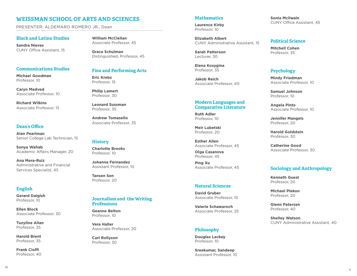## **WEISSMAN SCHOOL OF ARTS AND SCIENCES**

PRESENTER: ALDEMARO ROMERO JR., Dean

#### **Black and Latino Studies**

**Sandra Nieves** CUNY Office Assistant, 15

**Communications Studies**

**Michael Goodman** Professor, 10

**Caryn Medved** Associate Professor, 10

**Richard Wilkins** Associate Professor, 15

#### **Dean's Office**

**Alan Pearlman** Senior College Lab Technician, 15

**Sonya Wahab** Academic Affairs Manager, 20

**Ana Mera-Ruiz** Administrative and Financial Services Specialist, 45

#### **English**

**Gerard Dalgish** Professor, 10

**Ellen Block** Associate Professor, 30

**Tuzyline Allan** Professor, 35

**Harold Brent** Professor, 35

**Frank Cioffi** Professor, 40

**William McClellan** Associate Professor, 45

**Grace Schulman** Distinguished, Professor, 45

#### **Fine and Performing Arts**

**Eric Krebs** Professor, 15

**Philip Lamert** Professor, 30

**Leonard Sussman** Professor, 35

**Andrew Tomasello** Associate Professor, 35

#### **History**

**Charlotte Brooks** Professor, 10

**Johanna Fernandez** Assistant Professor, 10

**Tansen Sen** Professor, 20

#### **Journalism and the Writing Professions**

**Geanne Belton** Professor, 10

**Vera Haller** Associate Professor, 20

**Carl Rollyson** Professor, 30

#### **Mathematics**

**Laurence Kirby** Professor, 10

**Elizabeth Albert** CUNY Administrative Assistant, 15

**Sarah Patterson** Lecturer, 30

**Elena Kosygina** Professor, 35

**Jakob Reich** Associate Professor, 40

#### **Modern Languages and Comparative Literature**

**Ruth Adler** Professor, 10

**Meir Lubetski** Professor, 20

**Esther Allen** Associate Professor, 45

**Olga Casanova** Professor, 45

**Ping Xu** Associate Professor, 45

## **Natural Sciences**

**David Gruber** Associate Professor, 10

**Valerie Schawaroch** Associate Professor, 25

#### **Philosophy**

**Douglas Lackey** Professor, 10

**Sreekumar, Sandeep** Assistant Professor, 10 **Sonia Mcilwain** CUNY Office Assistant, 45

#### **Political Science**

**Mitchell Cohen** Professor, 35

#### **Psychology**

**Mindy Friedman** Associate Professor, 10

**Samuel Johnson** Professor, 10

**Angela Pinto** Associate Professor, 10

**Jennifer Mangels** Professor, 20

**Harold Goldstein** Professor, 30

**Catherine Good** Associate Professor, 30

### **Sociology and Anthropology**

**Kenneth Guest** Professor, 20

**Michael Plekon** Professor, 20

**Glenn Petersen** Professor, 40

**Shelley Watson** CUNY Administrative Assistant, 40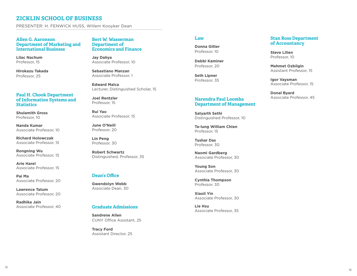## **ZICKLIN SCHOOL OF BUSINESS**

PRESENTER: H. FENWICK HUSS, Willem Kooyker Dean

#### **Allen G. Aaronson Department of Marketing and International Business**

**Lilac Nachum** Professor, 15

**Hirokazu Takada** Professor, 25

#### **Paul H. Chook Department of Information Systems and Statistics**

**Shulamith Gross** Professor, 10

**Nanda Kumar** Associate Professor, 10

**Richard Holowczak** Associate Professor, 15

**Rongning Wu** Associate Professor, 15

**Arie Harel** Associate Professor, 15

**Pai Ma** Associate Professor, 20

**Lawrence Tatum** Associate Professor, 20

**Radhika Jain** Associate Professor, 40

#### **Bert W. Wasserman Department of Economics and Finance**

**Jay Dahya** Associate Professor, 10

**Sebastiano Manzan** Associate Professor, 1

**Edward Malca** Lecturer, Distinguished Scholar, 15

**Joel Rentzler** Professor, 15

**Rui Yao** Associate Professor, 15

**June O'Neill** Professor, 20

**Lin Peng** Professor, 30

**Robert Schwartz** Distinguished, Professor, 35

#### **Dean's Office**

**Gwendolyn Webb** Associate Dean, 30

#### **Graduate Admissions**

**Sandrene Allen** CUNY Office Assistant, 25

**Tracy Ford** Assistant Director, 25

#### **Law**

**Donna Gitter** Professor, 10

**Debbi Kaminer** Professor, 20

**Seth Lipner** Professor, 35

#### **Narendra Paul Loomba Department of Management**

**Satyarth Sethi** Distinguished Professor, 10

**Ta-lung William Chien** Professor, 15

**Tushar Das** Professor, 30

**Naomi Gardberg** Associate Professor, 30

**Young Son** Associate Professor, 30

**Cynthia Thompson** Professor, 30

**Xiaoli Yin** Associate Professor, 30

**Lie Hsu** Associate Professor, 35

#### **Stan Ross Department of Accountancy**

**Steve Lilien** Professor, 10

**Mehmet Ozbilgin** Assistant Professor, 15

**Igor Vaysman** Associate Professor, 15

**Donal Byard** Associate Professor, 45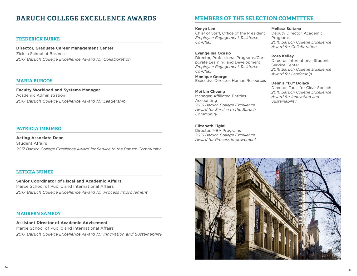# **BARUCH COLLEGE EXCELLENCE AWARDS**

#### **FREDERICK BURKE**

**Director, Graduate Career Management Center** Zicklin School of Business *2017 Baruch College Excellence Award for Collaboration*

#### **MARIA BURGOS**

**Faculty Workload and Systems Manager** Academic Administration *2017 Baruch College Excellence Award for Leadership*

#### **PATRICIA IMBIMBO**

**Acting Associate Dean** Student Affairs *2017 Baruch College Excellence Award for Service to the Baruch Community*

#### **LETICIA NUNEZ**

**Senior Coordinator of Fiscal and Academic Affairs** Marxe School of Public and International Affairs *2017 Baruch College Excellence Award for Process Improvement*

#### **MAUREEN SAMEDY**

**Assistant Director of Academic Advisement** Marxe School of Public and International Affairs *2017 Baruch College Excellence Award for Innovation and Sustainability*

## **MEMBERS OF THE SELECTION COMMITTEE**

#### **Kenya Lee**

Chief of Staff, Office of the President *Employee Engagement Taskforce Co-Chair*

**Evangelina Ocasio** Director, Professional Programs/Corporate Learning and Development *Employee Engagement Taskforce Co-Chair*

**Monique George** Executive Director, Human Resources

**Mei Lin Cheung** Manager, Affiliated Entities Accounting *2016 Baruch College Excellence Award for Service to the Baruch Community*

**Elizabeth Figini**  Director, MBA Programs *2016 Baruch College Excellence Award for Process Improvement* **Melissa Sultana**

Deputy Director, Academic Programs *2016 Baruch College Excellence Award for Collaboration*

**Rosa Kelley** Director, International Student Service Center

*2016 Baruch College Excellence Award for Leadership*

#### **Dennis "DJ" Dolack**

Director, Tools for Clear Speech *2016 Baruch College Excellence Award for Innovation and Sustainability*